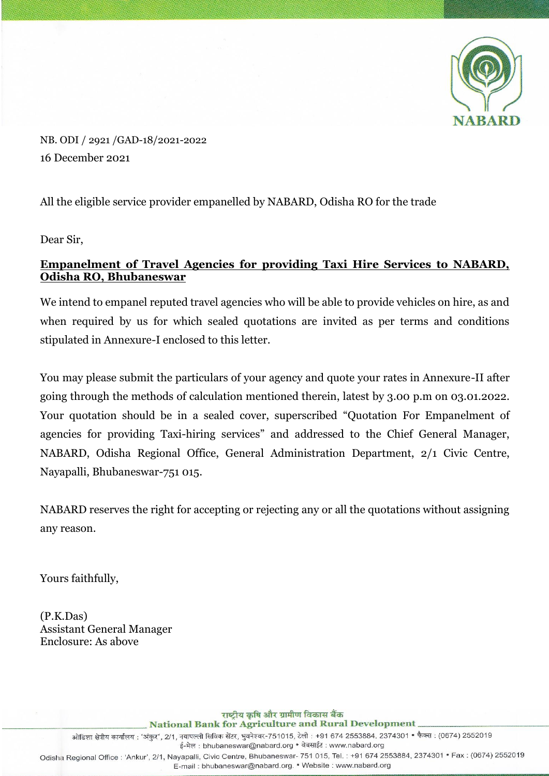

NB. ODI / 2921 /GAD-18/2021-2022 16 December 2021

All the eligible service provider empanelled by NABARD, Odisha RO for the trade

Dear Sir,

## **Empanelment of Travel Agencies for providing Taxi Hire Services to NABARD, Odisha RO, Bhubaneswar**

We intend to empanel reputed travel agencies who will be able to provide vehicles on hire, as and when required by us for which sealed quotations are invited as per terms and conditions stipulated in Annexure-I enclosed to this letter.

You may please submit the particulars of your agency and quote your rates in Annexure-II after going through the methods of calculation mentioned therein, latest by 3.00 p.m on 03.01.2022. Your quotation should be in a sealed cover, superscribed "Quotation For Empanelment of agencies for providing Taxi-hiring services" and addressed to the Chief General Manager, NABARD, Odisha Regional Office, General Administration Department, 2/1 Civic Centre, Nayapalli, Bhubaneswar-751 015.

NABARD reserves the right for accepting or rejecting any or all the quotations without assigning any reason.

Yours faithfully,

(P.K.Das) Assistant General Manager Enclosure: As above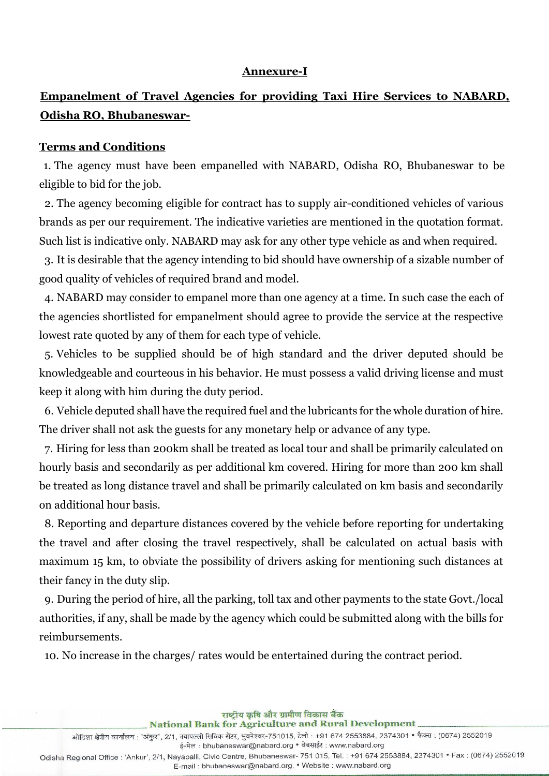#### **Annexure-I**

# **Empanelment of Travel Agencies for providing Taxi Hire Services to NABARD, Odisha RO, Bhubaneswar-**

#### **Terms and Conditions**

1. The agency must have been empanelled with NABARD, Odisha RO, Bhubaneswar to be eligible to bid for the job.

2. The agency becoming eligible for contract has to supply air-conditioned vehicles of various brands as per our requirement. The indicative varieties are mentioned in the quotation format. Such list is indicative only. NABARD may ask for any other type vehicle as and when required.

3. It is desirable that the agency intending to bid should have ownership of a sizable number of good quality of vehicles of required brand and model.

4. NABARD may consider to empanel more than one agency at a time. In such case the each of the agencies shortlisted for empanelment should agree to provide the service at the respective lowest rate quoted by any of them for each type of vehicle.

5. Vehicles to be supplied should be of high standard and the driver deputed should be knowledgeable and courteous in his behavior. He must possess a valid driving license and must keep it along with him during the duty period.

6. Vehicle deputed shall have the required fuel and the lubricants for the whole duration of hire. The driver shall not ask the guests for any monetary help or advance of any type.

7. Hiring for less than 200km shall be treated as local tour and shall be primarily calculated on hourly basis and secondarily as per additional km covered. Hiring for more than 200 km shall be treated as long distance travel and shall be primarily calculated on km basis and secondarily on additional hour basis.

8. Reporting and departure distances covered by the vehicle before reporting for undertaking the travel and after closing the travel respectively, shall be calculated on actual basis with maximum 15 km, to obviate the possibility of drivers asking for mentioning such distances at their fancy in the duty slip.

9. During the period of hire, all the parking, toll tax and other payments to the state Govt./local authorities, if any, shall be made by the agency which could be submitted along with the bills for reimbursements.

10. No increase in the charges/ rates would be entertained during the contract period.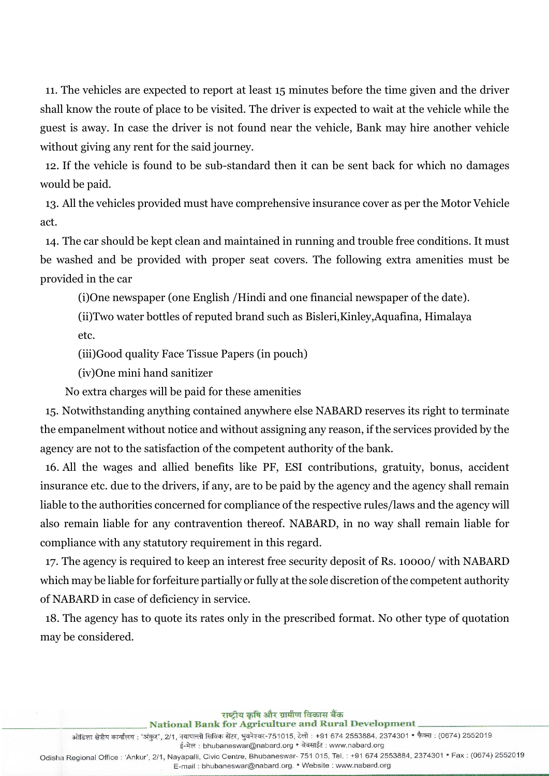11. The vehicles are expected to report at least 15 minutes before the time given and the driver shall know the route of place to be visited. The driver is expected to wait at the vehicle while the guest is away. In case the driver is not found near the vehicle, Bank may hire another vehicle without giving any rent for the said journey.

12. If the vehicle is found to be sub-standard then it can be sent back for which no damages would be paid.

13. All the vehicles provided must have comprehensive insurance cover as per the Motor Vehicle act.

14. The car should be kept clean and maintained in running and trouble free conditions. It must be washed and be provided with proper seat covers. The following extra amenities must be provided in the car

(i)One newspaper (one English /Hindi and one financial newspaper of the date).

(ii)Two water bottles of reputed brand such as Bisleri,Kinley,Aquafina, Himalaya etc.

(iii)Good quality Face Tissue Papers (in pouch)

(iv)One mini hand sanitizer

No extra charges will be paid for these amenities

15. Notwithstanding anything contained anywhere else NABARD reserves its right to terminate the empanelment without notice and without assigning any reason, if the services provided by the agency are not to the satisfaction of the competent authority of the bank.

16. All the wages and allied benefits like PF, ESI contributions, gratuity, bonus, accident insurance etc. due to the drivers, if any, are to be paid by the agency and the agency shall remain liable to the authorities concerned for compliance of the respective rules/laws and the agency will also remain liable for any contravention thereof. NABARD, in no way shall remain liable for compliance with any statutory requirement in this regard.

17. The agency is required to keep an interest free security deposit of Rs. 10000/ with NABARD which may be liable for forfeiture partially or fully at the sole discretion of the competent authority of NABARD in case of deficiency in service.

18. The agency has to quote its rates only in the prescribed format. No other type of quotation may be considered.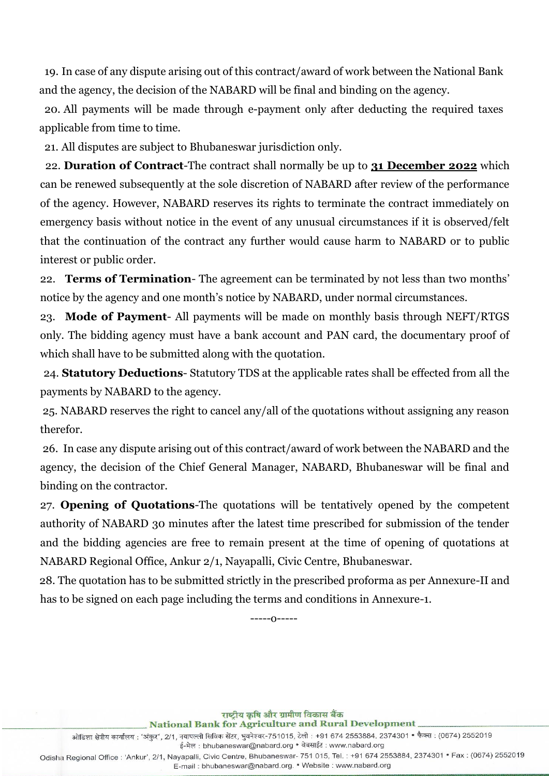19. In case of any dispute arising out of this contract/award of work between the National Bank and the agency, the decision of the NABARD will be final and binding on the agency.

20. All payments will be made through e-payment only after deducting the required taxes applicable from time to time.

21. All disputes are subject to Bhubaneswar jurisdiction only.

22. **Duration of Contract**-The contract shall normally be up to **31 December 2022** which can be renewed subsequently at the sole discretion of NABARD after review of the performance of the agency. However, NABARD reserves its rights to terminate the contract immediately on emergency basis without notice in the event of any unusual circumstances if it is observed/felt that the continuation of the contract any further would cause harm to NABARD or to public interest or public order.

22. **Terms of Termination**- The agreement can be terminated by not less than two months' notice by the agency and one month's notice by NABARD, under normal circumstances.

23. **Mode of Payment**- All payments will be made on monthly basis through NEFT/RTGS only. The bidding agency must have a bank account and PAN card, the documentary proof of which shall have to be submitted along with the quotation.

24. **Statutory Deductions**- Statutory TDS at the applicable rates shall be effected from all the payments by NABARD to the agency.

25. NABARD reserves the right to cancel any/all of the quotations without assigning any reason therefor.

26. In case any dispute arising out of this contract/award of work between the NABARD and the agency, the decision of the Chief General Manager, NABARD, Bhubaneswar will be final and binding on the contractor.

27. **Opening of Quotations**-The quotations will be tentatively opened by the competent authority of NABARD 30 minutes after the latest time prescribed for submission of the tender and the bidding agencies are free to remain present at the time of opening of quotations at NABARD Regional Office, Ankur 2/1, Nayapalli, Civic Centre, Bhubaneswar.

 28. The quotation has to be submitted strictly in the prescribed proforma as per Annexure-II and has to be signed on each page including the terms and conditions in Annexure-1.

-----o-----

राष्ट्रीय कृषि और ग्रामीण विकास बैंक **National Bank for Agriculture and Rural Development** ई-मेल: bhubaneswar@nabard.org • वेबसाईट: www.nabard.org Odisha Regional Office : 'Ankur', 2/1, Nayapalli, Civic Centre, Bhubaneswar- 751 015, Tel. : +91 674 2553884, 2374301 • Fax : (0674) 2552019 E-mail: bhubaneswar@nabard.org. • Website: www.nabard.org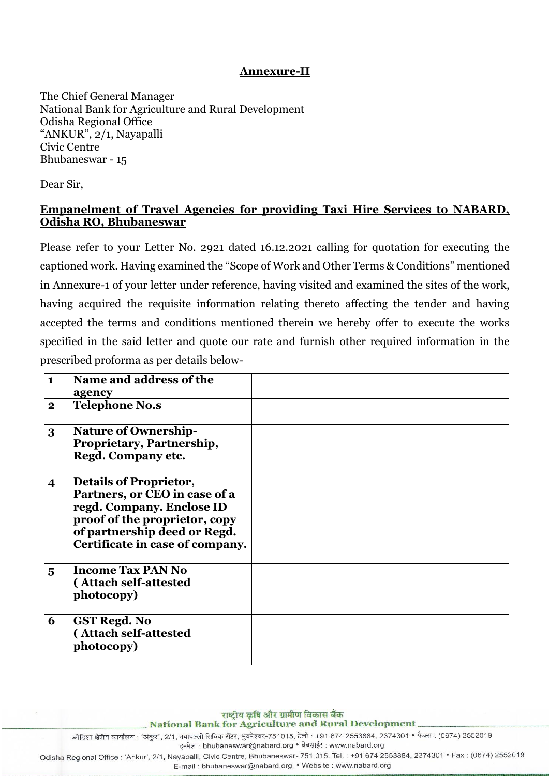#### **Annexure-II**

The Chief General Manager National Bank for Agriculture and Rural Development Odisha Regional Office "ANKUR", 2/1, Nayapalli Civic Centre Bhubaneswar - 15

Dear Sir,

### **Empanelment of Travel Agencies for providing Taxi Hire Services to NABARD, Odisha RO, Bhubaneswar**

Please refer to your Letter No. 2921 dated 16.12.2021 calling for quotation for executing the captioned work. Having examined the "Scope of Work and Other Terms & Conditions" mentioned in Annexure-1 of your letter under reference, having visited and examined the sites of the work, having acquired the requisite information relating thereto affecting the tender and having accepted the terms and conditions mentioned therein we hereby offer to execute the works specified in the said letter and quote our rate and furnish other required information in the prescribed proforma as per details below-

| $\mathbf{1}$            | Name and address of the<br>agency                                                                                                                                                               |  |  |
|-------------------------|-------------------------------------------------------------------------------------------------------------------------------------------------------------------------------------------------|--|--|
| $\mathbf{2}$            | <b>Telephone No.s</b>                                                                                                                                                                           |  |  |
| 3                       | <b>Nature of Ownership-</b><br>Proprietary, Partnership,<br>Regd. Company etc.                                                                                                                  |  |  |
| $\overline{\mathbf{4}}$ | <b>Details of Proprietor,</b><br>Partners, or CEO in case of a<br>regd. Company. Enclose ID<br>proof of the proprietor, copy<br>of partnership deed or Regd.<br>Certificate in case of company. |  |  |
| $\overline{5}$          | <b>Income Tax PAN No</b><br>(Attach self-attested<br>photocopy)                                                                                                                                 |  |  |
| 6                       | <b>GST Regd. No</b><br>(Attach self-attested<br>photocopy)                                                                                                                                      |  |  |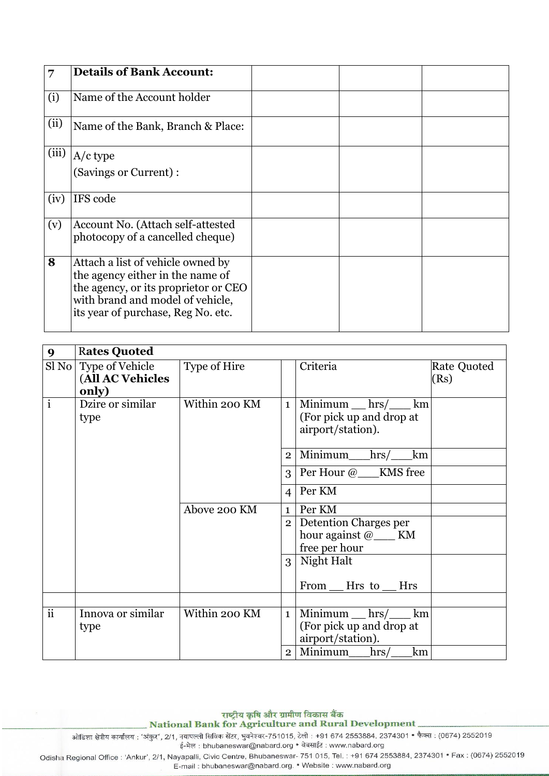| 7     | <b>Details of Bank Account:</b>                                                                                                                                                         |  |  |
|-------|-----------------------------------------------------------------------------------------------------------------------------------------------------------------------------------------|--|--|
| (i)   | Name of the Account holder                                                                                                                                                              |  |  |
| (ii)  | Name of the Bank, Branch & Place:                                                                                                                                                       |  |  |
| (iii) | $A/c$ type                                                                                                                                                                              |  |  |
|       | (Savings or Current):                                                                                                                                                                   |  |  |
| (iv)  | IFS code                                                                                                                                                                                |  |  |
| (v)   | Account No. (Attach self-attested<br>photocopy of a cancelled cheque)                                                                                                                   |  |  |
| 8     | Attach a list of vehicle owned by<br>the agency either in the name of<br>the agency, or its proprietor or CEO<br>with brand and model of vehicle,<br>its year of purchase, Reg No. etc. |  |  |

| $\boldsymbol{9}$ | <b>Rates Quoted</b>                                  |               |                |                                                                      |                     |
|------------------|------------------------------------------------------|---------------|----------------|----------------------------------------------------------------------|---------------------|
|                  | Sl No   Type of Vehicle<br>(All AC Vehicles<br>only) | Type of Hire  |                | Criteria                                                             | Rate Quoted<br>(Rs) |
| $\mathbf{i}$     | Dzire or similar<br>type                             | Within 200 KM | $\mathbf{1}$   | $Minimum$ hrs/ $km$<br>(For pick up and drop at<br>airport/station). |                     |
|                  |                                                      |               |                | $2$ Minimum hrs/<br>km                                               |                     |
|                  |                                                      |               |                | $3$ Per Hour $@$ KMS free                                            |                     |
|                  |                                                      |               | $\overline{4}$ | Per KM                                                               |                     |
|                  |                                                      | Above 200 KM  | $\mathbf{1}$   | Per KM                                                               |                     |
|                  |                                                      |               |                | 2 Detention Charges per<br>hour against $@$ KM<br>free per hour      |                     |
|                  |                                                      |               |                | 3 Night Halt                                                         |                     |
|                  |                                                      |               |                | From __ Hrs to __ Hrs                                                |                     |
| ii               | Innova or similar<br>type                            | Within 200 KM | $\mathbf{1}$   | $Minimum$ hrs/ $km$<br>(For pick up and drop at<br>airport/station). |                     |
|                  |                                                      |               | $\overline{2}$ | Minimum_hrs/<br>km                                                   |                     |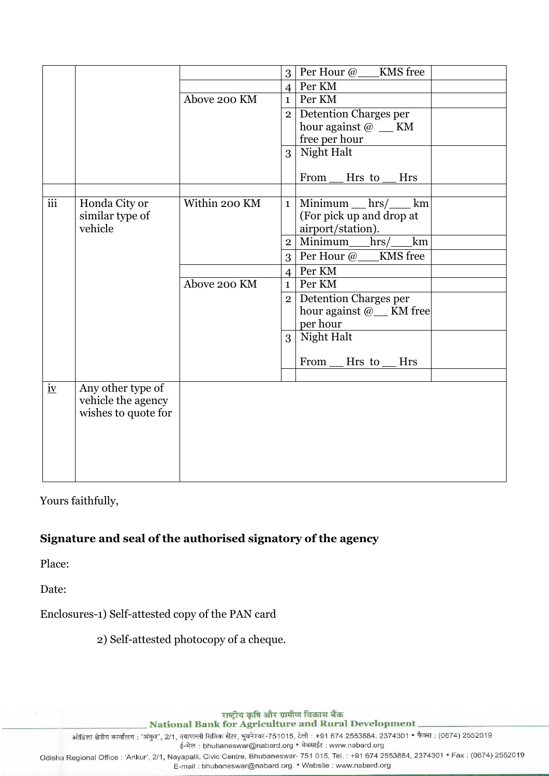|                                |                                                                |               |                | 3   Per Hour @___KMS free            |  |
|--------------------------------|----------------------------------------------------------------|---------------|----------------|--------------------------------------|--|
|                                |                                                                |               | $\overline{4}$ | Per KM                               |  |
|                                |                                                                | Above 200 KM  | 1 <sup>1</sup> | Per KM                               |  |
|                                |                                                                |               | 2 <sup>1</sup> | Detention Charges per                |  |
|                                |                                                                |               |                | hour against @ __ KM                 |  |
|                                |                                                                |               |                | free per hour                        |  |
|                                |                                                                |               | $\overline{3}$ | Night Halt                           |  |
|                                |                                                                |               |                | From<br>Hrs to<br><b>Hrs</b>         |  |
|                                |                                                                |               |                |                                      |  |
| $\overline{iii}$               | Honda City or                                                  | Within 200 KM | $1\vert$       | Minimum $hrs$ / km                   |  |
|                                | similar type of                                                |               |                | (For pick up and drop at             |  |
|                                | vehicle                                                        |               |                | airport/station).                    |  |
|                                |                                                                |               | $\overline{2}$ | Minimum_hrs/<br>km                   |  |
|                                |                                                                |               |                | 3   Per Hour @___KMS free            |  |
|                                |                                                                |               | $\overline{4}$ | Per KM                               |  |
|                                |                                                                | Above 200 KM  | 1              | Per KM                               |  |
|                                |                                                                |               | 2 <sup>1</sup> | Detention Charges per                |  |
|                                |                                                                |               |                | hour against @ <sub>__</sub> KM free |  |
|                                |                                                                |               |                | per hour                             |  |
|                                |                                                                |               | 3 <sup>1</sup> | Night Halt                           |  |
|                                |                                                                |               |                | From<br>Hrs to<br>Hrs                |  |
|                                |                                                                |               |                |                                      |  |
| $\underline{\text{i}\text{v}}$ | Any other type of<br>vehicle the agency<br>wishes to quote for |               |                |                                      |  |

# Yours faithfully,

# **Signature and seal of the authorised signatory of the agency**

Place:

Date:

Enclosures-1) Self-attested copy of the PAN card

2) Self-attested photocopy of a cheque.